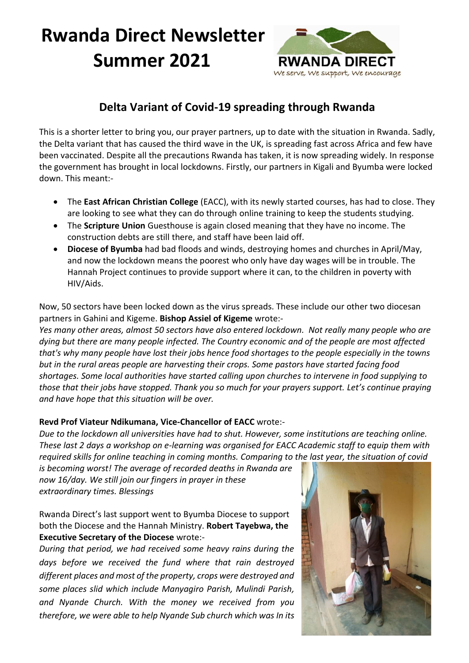# **Rwanda Direct Newsletter Summer 2021**



# **Delta Variant of Covid-19 spreading through Rwanda**

This is a shorter letter to bring you, our prayer partners, up to date with the situation in Rwanda. Sadly, the Delta variant that has caused the third wave in the UK, is spreading fast across Africa and few have been vaccinated. Despite all the precautions Rwanda has taken, it is now spreading widely. In response the government has brought in local lockdowns. Firstly, our partners in Kigali and Byumba were locked down. This meant:-

- The **East African Christian College** (EACC), with its newly started courses, has had to close. They are looking to see what they can do through online training to keep the students studying.
- The **Scripture Union** Guesthouse is again closed meaning that they have no income. The construction debts are still there, and staff have been laid off.
- **Diocese of Byumba** had bad floods and winds, destroying homes and churches in April/May, and now the lockdown means the poorest who only have day wages will be in trouble. The Hannah Project continues to provide support where it can, to the children in poverty with HIV/Aids.

Now, 50 sectors have been locked down as the virus spreads. These include our other two diocesan partners in Gahini and Kigeme. **Bishop Assiel of Kigeme** wrote:-

*Yes many other areas, almost 50 sectors have also entered lockdown. Not really many people who are dying but there are many people infected. The Country economic and of the people are most affected that's why many people have lost their jobs hence food shortages to the people especially in the towns but in the rural areas people are harvesting their crops. Some pastors have started facing food shortages. Some local authorities have started calling upon churches to intervene in food supplying to those that their jobs have stopped. Thank you so much for your prayers support. Let's continue praying and have hope that this situation will be over.*

#### **Revd Prof Viateur Ndikumana, Vice-Chancellor of EACC** wrote:-

*Due to the lockdown all universities have had to shut. However, some institutions are teaching online. These last 2 days a workshop on e-learning was organised for EACC Academic staff to equip them with required skills for online teaching in coming months. Comparing to the last year, the situation of covid* 

*is becoming worst! The average of recorded deaths in Rwanda are now 16/day. We still join our fingers in prayer in these extraordinary times. Blessings*

Rwanda Direct's last support went to Byumba Diocese to support both the Diocese and the Hannah Ministry. **Robert Tayebwa, the Executive Secretary of the Diocese** wrote:-

*During that period, we had received some heavy rains during the days before we received the fund where that rain destroyed different places and most of the property, crops were destroyed and some places slid which include Manyagiro Parish, Mulindi Parish, and Nyande Church. With the money we received from you therefore, we were able to help Nyande Sub church which was In its*